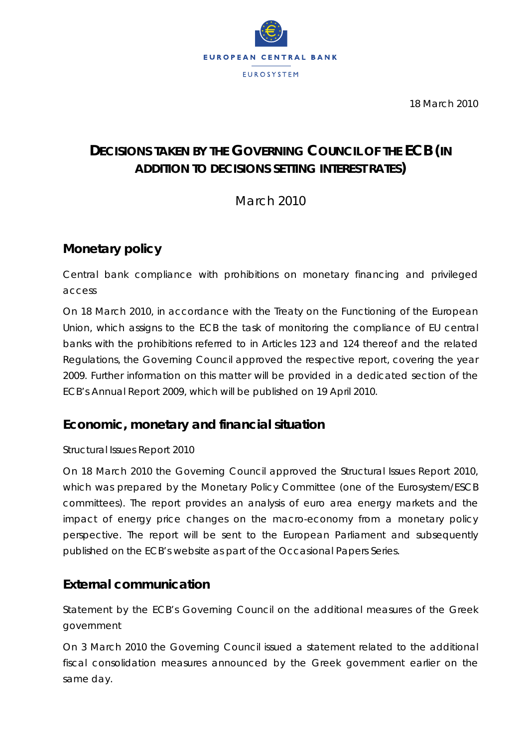

18 March 2010

# **DECISIONS TAKEN BY THE GOVERNING COUNCIL OF THE ECB** *(IN ADDITION TO DECISIONS SETTING INTEREST RATES)*

March 2010

# **Monetary policy**

*Central bank compliance with prohibitions on monetary financing and privileged access* 

On 18 March 2010, in accordance with the Treaty on the Functioning of the European Union, which assigns to the ECB the task of monitoring the compliance of EU central banks with the prohibitions referred to in Articles 123 and 124 thereof and the related Regulations, the Governing Council approved the respective report, covering the year 2009. Further information on this matter will be provided in a dedicated section of the ECB's Annual Report 2009, which will be published on 19 April 2010.

## **Economic, monetary and financial situation**

#### *Structural Issues Report 2010*

On 18 March 2010 the Governing Council approved the Structural Issues Report 2010, which was prepared by the Monetary Policy Committee (one of the Eurosystem/ESCB committees). The report provides an analysis of euro area energy markets and the impact of energy price changes on the macro-economy from a monetary policy perspective. The report will be sent to the European Parliament and subsequently published on the ECB's website as part of the Occasional Papers Series.

## **External communication**

*Statement by the ECB's Governing Council on the additional measures of the Greek government* 

On 3 March 2010 the Governing Council issued a statement related to the additional fiscal consolidation measures announced by the Greek government earlier on the same day.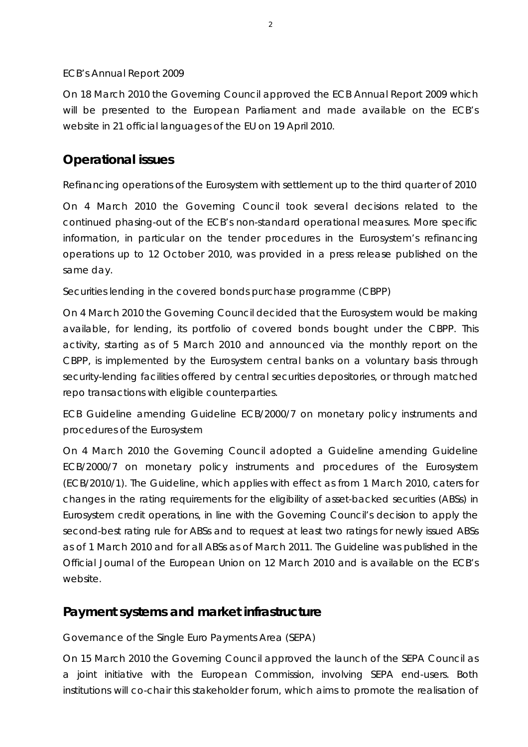#### *ECB's Annual Report 2009*

On 18 March 2010 the Governing Council approved the ECB Annual Report 2009 which will be presented to the European Parliament and made available on the ECB's website in 21 official languages of the EU on 19 April 2010.

## **Operational issues**

#### *Refinancing operations of the Eurosystem with settlement up to the third quarter of 2010*

On 4 March 2010 the Governing Council took several decisions related to the continued phasing-out of the ECB's non-standard operational measures. More specific information, in particular on the tender procedures in the Eurosystem's refinancing operations up to 12 October 2010, was provided in a press release published on the same day.

#### *Securities lending in the covered bonds purchase programme (CBPP)*

On 4 March 2010 the Governing Council decided that the Eurosystem would be making available, for lending, its portfolio of covered bonds bought under the CBPP. This activity, starting as of 5 March 2010 and announced via the monthly report on the CBPP, is implemented by the Eurosystem central banks on a voluntary basis through security-lending facilities offered by central securities depositories, or through matched repo transactions with eligible counterparties.

### *ECB Guideline amending Guideline ECB/2000/7 on monetary policy instruments and procedures of the Eurosystem*

On 4 March 2010 the Governing Council adopted a Guideline amending Guideline ECB/2000/7 on monetary policy instruments and procedures of the Eurosystem (ECB/2010/1). The Guideline, which applies with effect as from 1 March 2010, caters for changes in the rating requirements for the eligibility of asset-backed securities (ABSs) in Eurosystem credit operations, in line with the Governing Council's decision to apply the second-best rating rule for ABSs and to request at least two ratings for newly issued ABSs as of 1 March 2010 and for all ABSs as of March 2011. The Guideline was published in the *Official Journal of the European Union* on 12 March 2010 and is available on the ECB's website.

### **Payment systems and market infrastructure**

#### *Governance of the Single Euro Payments Area (SEPA)*

On 15 March 2010 the Governing Council approved the launch of the SEPA Council as a joint initiative with the European Commission, involving SEPA end-users. Both institutions will co-chair this stakeholder forum, which aims to promote the realisation of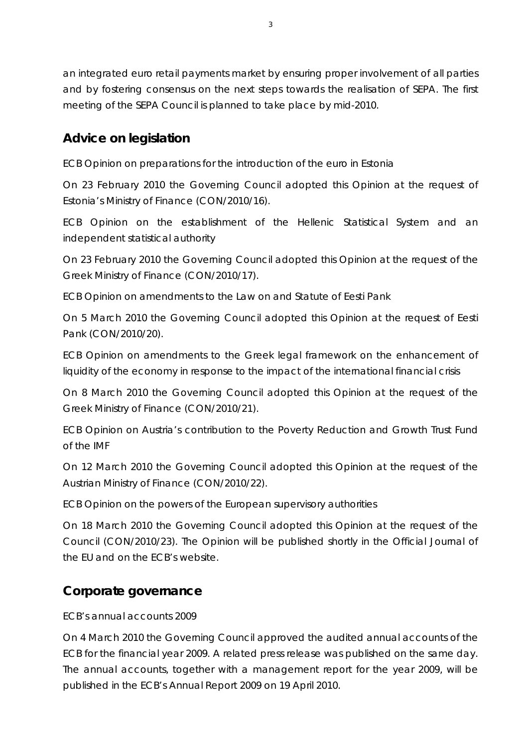an integrated euro retail payments market by ensuring proper involvement of all parties and by fostering consensus on the next steps towards the realisation of SEPA. The first meeting of the SEPA Council is planned to take place by mid-2010.

# **Advice on legislation**

### *ECB Opinion on preparations for the introduction of the euro in Estonia*

On 23 February 2010 the Governing Council adopted this Opinion at the request of Estonia's Ministry of Finance (CON/2010/16).

*ECB Opinion on the establishment of the Hellenic Statistical System and an independent statistical authority* 

On 23 February 2010 the Governing Council adopted this Opinion at the request of the Greek Ministry of Finance (CON/2010/17).

*ECB Opinion on amendments to the Law on and Statute of Eesti Pank* 

On 5 March 2010 the Governing Council adopted this Opinion at the request of Eesti Pank (CON/2010/20).

*ECB Opinion on amendments to the Greek legal framework on the enhancement of liquidity of the economy in response to the impact of the international financial crisis* 

On 8 March 2010 the Governing Council adopted this Opinion at the request of the Greek Ministry of Finance (CON/2010/21).

*ECB Opinion on Austria's contribution to the Poverty Reduction and Growth Trust Fund of the IMF* 

On 12 March 2010 the Governing Council adopted this Opinion at the request of the Austrian Ministry of Finance (CON/2010/22).

### *ECB Opinion on the powers of the European supervisory authorities*

On 18 March 2010 the Governing Council adopted this Opinion at the request of the Council (CON/2010/23). The Opinion will be published shortly in the *Official Journal of the EU* and on the ECB's website.

# **Corporate governance**

### *ECB's annual accounts 2009*

On 4 March 2010 the Governing Council approved the audited annual accounts of the ECB for the financial year 2009. A related press release was published on the same day. The annual accounts, together with a management report for the year 2009, will be published in the ECB's Annual Report 2009 on 19 April 2010.